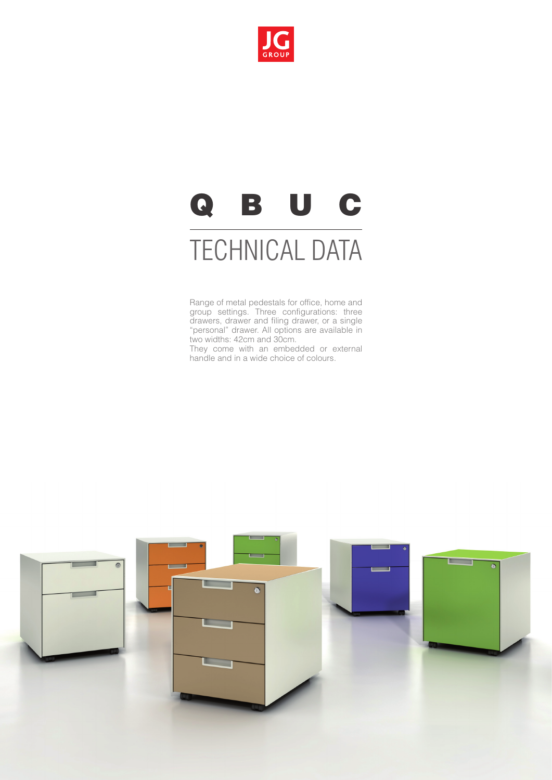

# Q B U C TECHNICAL DATA

Range of metal pedestals for office, home and group settings. Three configurations: three drawers, drawer and filing drawer, or a single "personal" drawer. All options are available in two widths: 42cm and 30cm. They come with an embedded or external

handle and in a wide choice of colours.

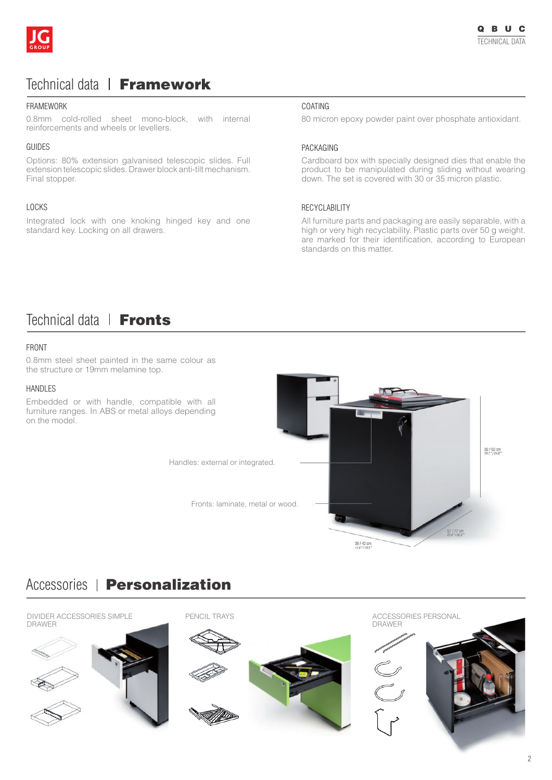

### Technical data | Framework

#### FRAMEWORK

0.8mm cold-rolled sheet mono-block, with internal reinforcements and wheels or levellers.

#### GUIDES

Options: 80% extension galvanised telescopic slides. Full extension telescopic slides. Drawer block anti-tilt mechanism. Final stopper.

#### LOCKS

Integrated lock with one knoking hinged key and one standard key. Locking on all drawers.

#### COATING

80 micron epoxy powder paint over phosphate antioxidant.

#### PACKAGING

Cardboard box with specially designed dies that enable the product to be manipulated during sliding without wearing down. The set is covered with 30 or 35 micron plastic.

#### RECYCLABILITY

All furniture parts and packaging are easily separable, with a high or very high recyclability. Plastic parts over 50 g weight. are marked for their identification, according to European standards on this matter.

### Technical data | **Fronts**

#### FRONT

0.8mm steel sheet painted in the same colour as the structure or 19mm melamine top.

#### **HANDLES**

Embedded or with handle, compatible with all furniture ranges. In ABS or metal alloys depending on the model.

Handles: external or integrated.

Fronts: laminate, metal or wood.



### Accessories | **Personalization**